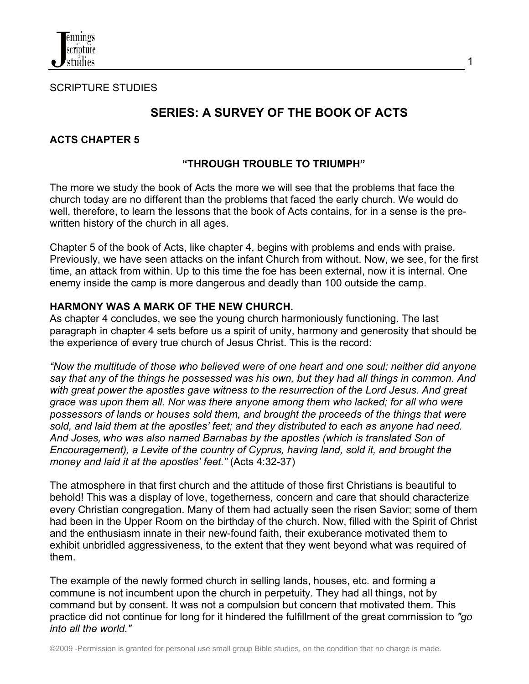SCRIPTURE STUDIES

# **SERIES: A SURVEY OF THE BOOK OF ACTS**

1

### **ACTS CHAPTER 5**

### **"THROUGH TROUBLE TO TRIUMPH"**

The more we study the book of Acts the more we will see that the problems that face the church today are no different than the problems that faced the early church. We would do well, therefore, to learn the lessons that the book of Acts contains, for in a sense is the prewritten history of the church in all ages.

Chapter 5 of the book of Acts, like chapter 4, begins with problems and ends with praise. Previously, we have seen attacks on the infant Church from without. Now, we see, for the first time, an attack from within. Up to this time the foe has been external, now it is internal. One enemy inside the camp is more dangerous and deadly than 100 outside the camp.

#### **HARMONY WAS A MARK OF THE NEW CHURCH.**

As chapter 4 concludes, we see the young church harmoniously functioning. The last paragraph in chapter 4 sets before us a spirit of unity, harmony and generosity that should be the experience of every true church of Jesus Christ. This is the record:

*"Now the multitude of those who believed were of one heart and one soul; neither did anyone say that any of the things he possessed was his own, but they had all things in common. And with great power the apostles gave witness to the resurrection of the Lord Jesus. And great grace was upon them all. Nor was there anyone among them who lacked; for all who were possessors of lands or houses sold them, and brought the proceeds of the things that were sold, and laid them at the apostles' feet; and they distributed to each as anyone had need. And Joses, who was also named Barnabas by the apostles (which is translated Son of Encouragement), a Levite of the country of Cyprus, having land, sold it, and brought the money and laid it at the apostles' feet."* (Acts 4:32-37)

The atmosphere in that first church and the attitude of those first Christians is beautiful to behold! This was a display of love, togetherness, concern and care that should characterize every Christian congregation. Many of them had actually seen the risen Savior; some of them had been in the Upper Room on the birthday of the church. Now, filled with the Spirit of Christ and the enthusiasm innate in their new-found faith, their exuberance motivated them to exhibit unbridled aggressiveness, to the extent that they went beyond what was required of them.

The example of the newly formed church in selling lands, houses, etc. and forming a commune is not incumbent upon the church in perpetuity. They had all things, not by command but by consent. It was not a compulsion but concern that motivated them. This practice did not continue for long for it hindered the fulfillment of the great commission to *"go into all the world."*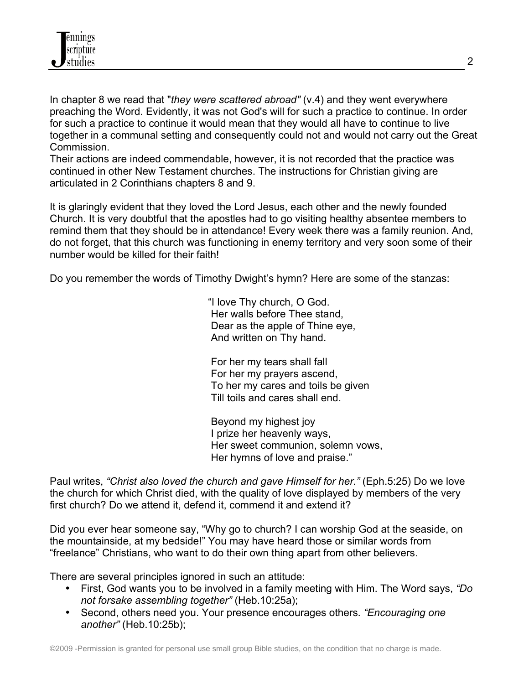

In chapter 8 we read that "*they were scattered abroad"* (v.4) and they went everywhere preaching the Word. Evidently, it was not God's will for such a practice to continue. In order for such a practice to continue it would mean that they would all have to continue to live together in a communal setting and consequently could not and would not carry out the Great Commission.

Their actions are indeed commendable, however, it is not recorded that the practice was continued in other New Testament churches. The instructions for Christian giving are articulated in 2 Corinthians chapters 8 and 9.

It is glaringly evident that they loved the Lord Jesus, each other and the newly founded Church. It is very doubtful that the apostles had to go visiting healthy absentee members to remind them that they should be in attendance! Every week there was a family reunion. And, do not forget, that this church was functioning in enemy territory and very soon some of their number would be killed for their faith!

Do you remember the words of Timothy Dwight's hymn? Here are some of the stanzas:

 "I love Thy church, O God. Her walls before Thee stand, Dear as the apple of Thine eye, And written on Thy hand.

 For her my tears shall fall For her my prayers ascend, To her my cares and toils be given Till toils and cares shall end.

 Beyond my highest joy I prize her heavenly ways, Her sweet communion, solemn vows, Her hymns of love and praise."

Paul writes, *"Christ also loved the church and gave Himself for her."* (Eph.5:25) Do we love the church for which Christ died, with the quality of love displayed by members of the very first church? Do we attend it, defend it, commend it and extend it?

Did you ever hear someone say, "Why go to church? I can worship God at the seaside, on the mountainside, at my bedside!" You may have heard those or similar words from "freelance" Christians, who want to do their own thing apart from other believers.

There are several principles ignored in such an attitude:

- First, God wants you to be involved in a family meeting with Him. The Word says, *"Do not forsake assembling together"* (Heb.10:25a);
- Second, others need you. Your presence encourages others*. "Encouraging one another"* (Heb.10:25b);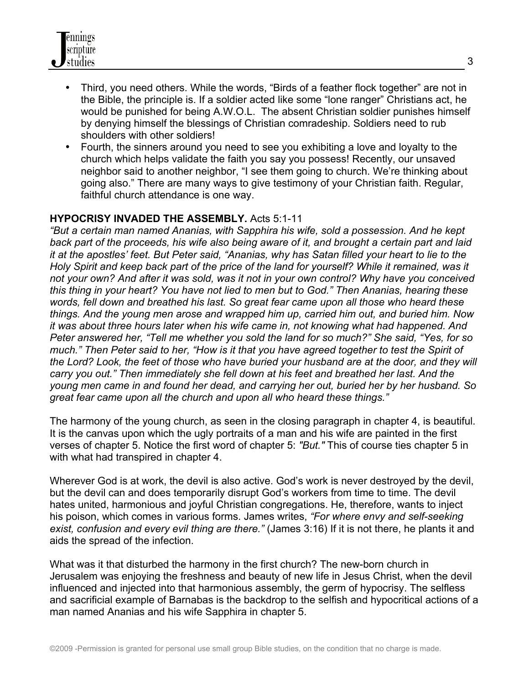- Third, you need others. While the words, "Birds of a feather flock together" are not in the Bible, the principle is. If a soldier acted like some "lone ranger" Christians act, he would be punished for being A.W.O.L. The absent Christian soldier punishes himself by denying himself the blessings of Christian comradeship. Soldiers need to rub shoulders with other soldiers!
- Fourth, the sinners around you need to see you exhibiting a love and loyalty to the church which helps validate the faith you say you possess! Recently, our unsaved neighbor said to another neighbor, "I see them going to church. We're thinking about going also." There are many ways to give testimony of your Christian faith. Regular, faithful church attendance is one way.

#### **HYPOCRISY INVADED THE ASSEMBLY.** Acts 5:1-11

*"But a certain man named Ananias, with Sapphira his wife, sold a possession. And he kept back part of the proceeds, his wife also being aware of it, and brought a certain part and laid it at the apostles' feet. But Peter said, "Ananias, why has Satan filled your heart to lie to the Holy Spirit and keep back part of the price of the land for yourself? While it remained, was it not your own? And after it was sold, was it not in your own control? Why have you conceived this thing in your heart? You have not lied to men but to God." Then Ananias, hearing these words, fell down and breathed his last. So great fear came upon all those who heard these things. And the young men arose and wrapped him up, carried him out, and buried him. Now it was about three hours later when his wife came in, not knowing what had happened. And Peter answered her, "Tell me whether you sold the land for so much?" She said, "Yes, for so much." Then Peter said to her, "How is it that you have agreed together to test the Spirit of the Lord? Look, the feet of those who have buried your husband are at the door, and they will carry you out." Then immediately she fell down at his feet and breathed her last. And the young men came in and found her dead, and carrying her out, buried her by her husband. So great fear came upon all the church and upon all who heard these things."*

The harmony of the young church, as seen in the closing paragraph in chapter 4, is beautiful. It is the canvas upon which the ugly portraits of a man and his wife are painted in the first verses of chapter 5. Notice the first word of chapter 5: *"But."* This of course ties chapter 5 in with what had transpired in chapter 4.

Wherever God is at work, the devil is also active. God's work is never destroyed by the devil, but the devil can and does temporarily disrupt God's workers from time to time. The devil hates united, harmonious and joyful Christian congregations. He, therefore, wants to inject his poison, which comes in various forms. James writes, *"For where envy and self-seeking exist, confusion and every evil thing are there."* (James 3:16) If it is not there, he plants it and aids the spread of the infection.

What was it that disturbed the harmony in the first church? The new-born church in Jerusalem was enjoying the freshness and beauty of new life in Jesus Christ, when the devil influenced and injected into that harmonious assembly, the germ of hypocrisy. The selfless and sacrificial example of Barnabas is the backdrop to the selfish and hypocritical actions of a man named Ananias and his wife Sapphira in chapter 5.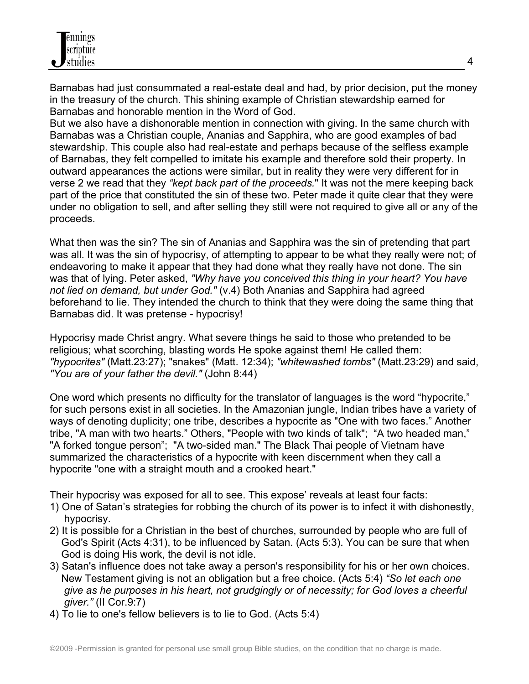Barnabas had just consummated a real-estate deal and had, by prior decision, put the money in the treasury of the church. This shining example of Christian stewardship earned for Barnabas and honorable mention in the Word of God.

But we also have a dishonorable mention in connection with giving. In the same church with Barnabas was a Christian couple, Ananias and Sapphira, who are good examples of bad stewardship. This couple also had real-estate and perhaps because of the selfless example of Barnabas, they felt compelled to imitate his example and therefore sold their property. In outward appearances the actions were similar, but in reality they were very different for in verse 2 we read that they *"kept back part of the proceeds.*" It was not the mere keeping back part of the price that constituted the sin of these two. Peter made it quite clear that they were under no obligation to sell, and after selling they still were not required to give all or any of the proceeds.

What then was the sin? The sin of Ananias and Sapphira was the sin of pretending that part was all. It was the sin of hypocrisy, of attempting to appear to be what they really were not; of endeavoring to make it appear that they had done what they really have not done. The sin was that of lying. Peter asked, *"Why have you conceived this thing in your heart? You have not lied on demand, but under God."* (v.4) Both Ananias and Sapphira had agreed beforehand to lie. They intended the church to think that they were doing the same thing that Barnabas did. It was pretense - hypocrisy!

Hypocrisy made Christ angry. What severe things he said to those who pretended to be religious; what scorching, blasting words He spoke against them! He called them: *"hypocrites"* (Matt.23:27); "snakes" (Matt. 12:34); *"whitewashed tombs"* (Matt.23:29) and said, *"You are of your father the devil."* (John 8:44)

One word which presents no difficulty for the translator of languages is the word "hypocrite," for such persons exist in all societies. In the Amazonian jungle, Indian tribes have a variety of ways of denoting duplicity; one tribe, describes a hypocrite as "One with two faces." Another tribe, "A man with two hearts." Others, "People with two kinds of talk"; "A two headed man," "A forked tongue person"; "A two-sided man." The Black Thai people of Vietnam have summarized the characteristics of a hypocrite with keen discernment when they call a hypocrite "one with a straight mouth and a crooked heart."

Their hypocrisy was exposed for all to see. This expose' reveals at least four facts:

- 1) One of Satan's strategies for robbing the church of its power is to infect it with dishonestly, hypocrisy.
- 2) It is possible for a Christian in the best of churches, surrounded by people who are full of God's Spirit (Acts 4:31), to be influenced by Satan. (Acts 5:3). You can be sure that when God is doing His work, the devil is not idle.
- 3) Satan's influence does not take away a person's responsibility for his or her own choices. New Testament giving is not an obligation but a free choice. (Acts 5:4) *"So let each one give as he purposes in his heart, not grudgingly or of necessity; for God loves a cheerful giver."* (II Cor.9:7)
- 4) To lie to one's fellow believers is to lie to God. (Acts 5:4)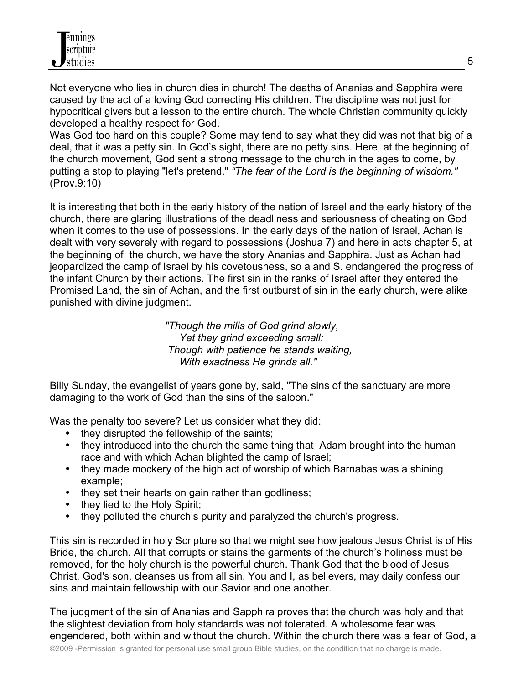

Not everyone who lies in church dies in church! The deaths of Ananias and Sapphira were caused by the act of a loving God correcting His children. The discipline was not just for hypocritical givers but a lesson to the entire church. The whole Christian community quickly developed a healthy respect for God.

Was God too hard on this couple? Some may tend to say what they did was not that big of a deal, that it was a petty sin. In God's sight, there are no petty sins. Here, at the beginning of the church movement, God sent a strong message to the church in the ages to come, by putting a stop to playing "let's pretend." *"The fear of the Lord is the beginning of wisdom."* (Prov.9:10)

It is interesting that both in the early history of the nation of Israel and the early history of the church, there are glaring illustrations of the deadliness and seriousness of cheating on God when it comes to the use of possessions. In the early days of the nation of Israel, Achan is dealt with very severely with regard to possessions (Joshua 7) and here in acts chapter 5, at the beginning of the church, we have the story Ananias and Sapphira. Just as Achan had jeopardized the camp of Israel by his covetousness, so a and S. endangered the progress of the infant Church by their actions. The first sin in the ranks of Israel after they entered the Promised Land, the sin of Achan, and the first outburst of sin in the early church, were alike punished with divine judgment.

> *"Though the mills of God grind slowly, Yet they grind exceeding small; Though with patience he stands waiting, With exactness He grinds all."*

Billy Sunday, the evangelist of years gone by, said, "The sins of the sanctuary are more damaging to the work of God than the sins of the saloon."

Was the penalty too severe? Let us consider what they did:

- they disrupted the fellowship of the saints;
- they introduced into the church the same thing that Adam brought into the human race and with which Achan blighted the camp of Israel;
- they made mockery of the high act of worship of which Barnabas was a shining example;
- they set their hearts on gain rather than godliness;
- they lied to the Holy Spirit:
- they polluted the church's purity and paralyzed the church's progress.

This sin is recorded in holy Scripture so that we might see how jealous Jesus Christ is of His Bride, the church. All that corrupts or stains the garments of the church's holiness must be removed, for the holy church is the powerful church. Thank God that the blood of Jesus Christ, God's son, cleanses us from all sin. You and I, as believers, may daily confess our sins and maintain fellowship with our Savior and one another.

The judgment of the sin of Ananias and Sapphira proves that the church was holy and that the slightest deviation from holy standards was not tolerated. A wholesome fear was engendered, both within and without the church. Within the church there was a fear of God, a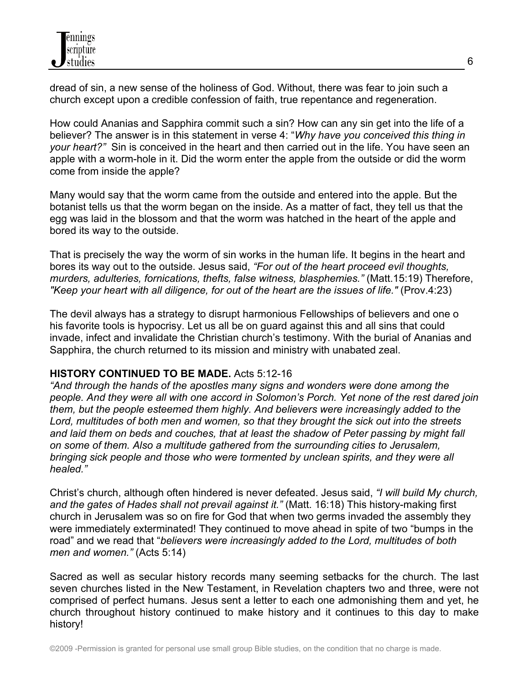dread of sin, a new sense of the holiness of God. Without, there was fear to join such a church except upon a credible confession of faith, true repentance and regeneration.

How could Ananias and Sapphira commit such a sin? How can any sin get into the life of a believer? The answer is in this statement in verse 4: "*Why have you conceived this thing in your heart?"* Sin is conceived in the heart and then carried out in the life. You have seen an apple with a worm-hole in it. Did the worm enter the apple from the outside or did the worm come from inside the apple?

Many would say that the worm came from the outside and entered into the apple. But the botanist tells us that the worm began on the inside. As a matter of fact, they tell us that the egg was laid in the blossom and that the worm was hatched in the heart of the apple and bored its way to the outside.

That is precisely the way the worm of sin works in the human life. It begins in the heart and bores its way out to the outside. Jesus said, *"For out of the heart proceed evil thoughts, murders, adulteries, fornications, thefts, false witness, blasphemies."* (Matt.15:19) Therefore, *"Keep your heart with all diligence, for out of the heart are the issues of life."* (Prov.4:23)

The devil always has a strategy to disrupt harmonious Fellowships of believers and one o his favorite tools is hypocrisy. Let us all be on guard against this and all sins that could invade, infect and invalidate the Christian church's testimony. With the burial of Ananias and Sapphira, the church returned to its mission and ministry with unabated zeal.

### **HISTORY CONTINUED TO BE MADE.** Acts 5:12-16

*"And through the hands of the apostles many signs and wonders were done among the people. And they were all with one accord in Solomon's Porch. Yet none of the rest dared join them, but the people esteemed them highly. And believers were increasingly added to the Lord, multitudes of both men and women, so that they brought the sick out into the streets and laid them on beds and couches, that at least the shadow of Peter passing by might fall on some of them. Also a multitude gathered from the surrounding cities to Jerusalem, bringing sick people and those who were tormented by unclean spirits, and they were all healed."*

Christ's church, although often hindered is never defeated. Jesus said, *"I will build My church, and the gates of Hades shall not prevail against it."* (Matt. 16:18) This history-making first church in Jerusalem was so on fire for God that when two germs invaded the assembly they were immediately exterminated! They continued to move ahead in spite of two "bumps in the road" and we read that "*believers were increasingly added to the Lord, multitudes of both men and women."* (Acts 5:14)

Sacred as well as secular history records many seeming setbacks for the church. The last seven churches listed in the New Testament, in Revelation chapters two and three, were not comprised of perfect humans. Jesus sent a letter to each one admonishing them and yet, he church throughout history continued to make history and it continues to this day to make history!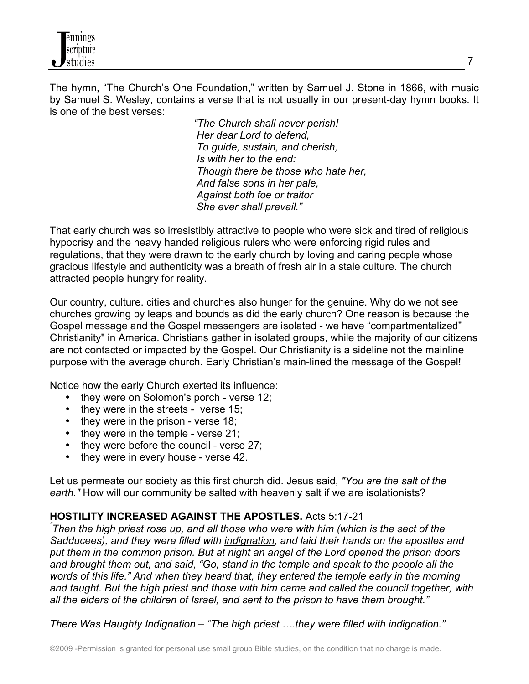The hymn, "The Church's One Foundation," written by Samuel J. Stone in 1866, with music by Samuel S. Wesley, contains a verse that is not usually in our present-day hymn books. It is one of the best verses:

> *"The Church shall never perish! Her dear Lord to defend, To guide, sustain, and cherish, Is with her to the end: Though there be those who hate her, And false sons in her pale, Against both foe or traitor She ever shall prevail."*

That early church was so irresistibly attractive to people who were sick and tired of religious hypocrisy and the heavy handed religious rulers who were enforcing rigid rules and regulations, that they were drawn to the early church by loving and caring people whose gracious lifestyle and authenticity was a breath of fresh air in a stale culture. The church attracted people hungry for reality.

Our country, culture. cities and churches also hunger for the genuine. Why do we not see churches growing by leaps and bounds as did the early church? One reason is because the Gospel message and the Gospel messengers are isolated - we have "compartmentalized" Christianity" in America. Christians gather in isolated groups, while the majority of our citizens are not contacted or impacted by the Gospel. Our Christianity is a sideline not the mainline purpose with the average church. Early Christian's main-lined the message of the Gospel!

Notice how the early Church exerted its influence:

- they were on Solomon's porch verse 12;
- they were in the streets verse 15;
- they were in the prison verse 18;
- they were in the temple verse 21;
- they were before the council verse 27;
- they were in every house verse 42.

Let us permeate our society as this first church did. Jesus said, *"You are the salt of the earth."* How will our community be salted with heavenly salt if we are isolationists?

## **HOSTILITY INCREASED AGAINST THE APOSTLES.** Acts 5:17-21 *"*

*Then the high priest rose up, and all those who were with him (which is the sect of the Sadducees), and they were filled with indignation, and laid their hands on the apostles and put them in the common prison. But at night an angel of the Lord opened the prison doors and brought them out, and said, "Go, stand in the temple and speak to the people all the words of this life." And when they heard that, they entered the temple early in the morning and taught. But the high priest and those with him came and called the council together, with all the elders of the children of Israel, and sent to the prison to have them brought."*

*There Was Haughty Indignation – "The high priest ….they were filled with indignation."*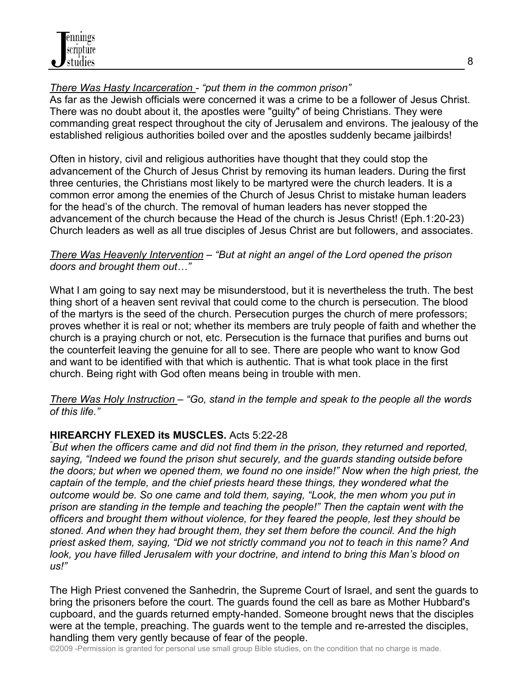# *There Was Hasty Incarceration - "put them in the common prison"*

As far as the Jewish officials were concerned it was a crime to be a follower of Jesus Christ. There was no doubt about it, the apostles were "guilty" of being Christians. They were commanding great respect throughout the city of Jerusalem and environs. The jealousy of the established religious authorities boiled over and the apostles suddenly became jailbirds!

Often in history, civil and religious authorities have thought that they could stop the advancement of the Church of Jesus Christ by removing its human leaders. During the first three centuries, the Christians most likely to be martyred were the church leaders. It is a common error among the enemies of the Church of Jesus Christ to mistake human leaders for the head's of the church. The removal of human leaders has never stopped the advancement of the church because the Head of the church is Jesus Christ! (Eph.1:20-23) Church leaders as well as all true disciples of Jesus Christ are but followers, and associates.

### *There Was Heavenly Intervention – "But at night an angel of the Lord opened the prison doors and brought them out…"*

What I am going to say next may be misunderstood, but it is nevertheless the truth. The best thing short of a heaven sent revival that could come to the church is persecution. The blood of the martyrs is the seed of the church. Persecution purges the church of mere professors; proves whether it is real or not; whether its members are truly people of faith and whether the church is a praying church or not, etc. Persecution is the furnace that purifies and burns out the counterfeit leaving the genuine for all to see. There are people who want to know God and want to be identified with that which is authentic. That is what took place in the first church. Being right with God often means being in trouble with men.

*There Was Holy Instruction – "Go, stand in the temple and speak to the people all the words of this life."*

## **HIREARCHY FLEXED its MUSCLES.** Acts 5:22-28 *"*

*But when the officers came and did not find them in the prison, they returned and reported, saying, "Indeed we found the prison shut securely, and the guards standing outside before the doors; but when we opened them, we found no one inside!" Now when the high priest, the captain of the temple, and the chief priests heard these things, they wondered what the outcome would be. So one came and told them, saying, "Look, the men whom you put in prison are standing in the temple and teaching the people!" Then the captain went with the officers and brought them without violence, for they feared the people, lest they should be stoned. And when they had brought them, they set them before the council. And the high priest asked them, saying, "Did we not strictly command you not to teach in this name? And look, you have filled Jerusalem with your doctrine, and intend to bring this Man's blood on us!"*

The High Priest convened the Sanhedrin, the Supreme Court of Israel, and sent the guards to bring the prisoners before the court. The guards found the cell as bare as Mother Hubbard's cupboard, and the guards returned empty-handed. Someone brought news that the disciples were at the temple, preaching. The guards went to the temple and re-arrested the disciples, handling them very gently because of fear of the people.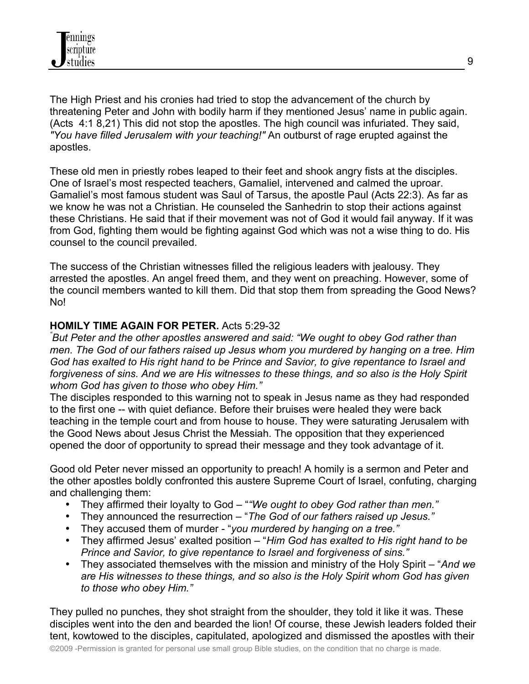

The High Priest and his cronies had tried to stop the advancement of the church by threatening Peter and John with bodily harm if they mentioned Jesus' name in public again. (Acts 4:1 8,21) This did not stop the apostles. The high council was infuriated. They said, *"You have filled Jerusalem with your teaching!"* An outburst of rage erupted against the apostles.

These old men in priestly robes leaped to their feet and shook angry fists at the disciples. One of Israel's most respected teachers, Gamaliel, intervened and calmed the uproar. Gamaliel's most famous student was Saul of Tarsus, the apostle Paul (Acts 22:3). As far as we know he was not a Christian. He counseled the Sanhedrin to stop their actions against these Christians. He said that if their movement was not of God it would fail anyway. If it was from God, fighting them would be fighting against God which was not a wise thing to do. His counsel to the council prevailed.

The success of the Christian witnesses filled the religious leaders with jealousy. They arrested the apostles. An angel freed them, and they went on preaching. However, some of the council members wanted to kill them. Did that stop them from spreading the Good News? No!

#### **HOMILY TIME AGAIN FOR PETER.** Acts 5:29-32 *"*

*But Peter and the other apostles answered and said: "We ought to obey God rather than men. The God of our fathers raised up Jesus whom you murdered by hanging on a tree. Him God has exalted to His right hand to be Prince and Savior, to give repentance to Israel and forgiveness of sins. And we are His witnesses to these things, and so also is the Holy Spirit whom God has given to those who obey Him."*

The disciples responded to this warning not to speak in Jesus name as they had responded to the first one -- with quiet defiance. Before their bruises were healed they were back teaching in the temple court and from house to house. They were saturating Jerusalem with the Good News about Jesus Christ the Messiah. The opposition that they experienced opened the door of opportunity to spread their message and they took advantage of it.

Good old Peter never missed an opportunity to preach! A homily is a sermon and Peter and the other apostles boldly confronted this austere Supreme Court of Israel, confuting, charging and challenging them:

- They affirmed their loyalty to God "*"We ought to obey God rather than men."*
- They announced the resurrection "*The God of our fathers raised up Jesus."*
- They accused them of murder "*you murdered by hanging on a tree."*
- They affirmed Jesus' exalted position "*Him God has exalted to His right hand to be Prince and Savior, to give repentance to Israel and forgiveness of sins."*
- They associated themselves with the mission and ministry of the Holy Spirit "*And we are His witnesses to these things, and so also is the Holy Spirit whom God has given to those who obey Him."*

They pulled no punches, they shot straight from the shoulder, they told it like it was. These disciples went into the den and bearded the lion! Of course, these Jewish leaders folded their tent, kowtowed to the disciples, capitulated, apologized and dismissed the apostles with their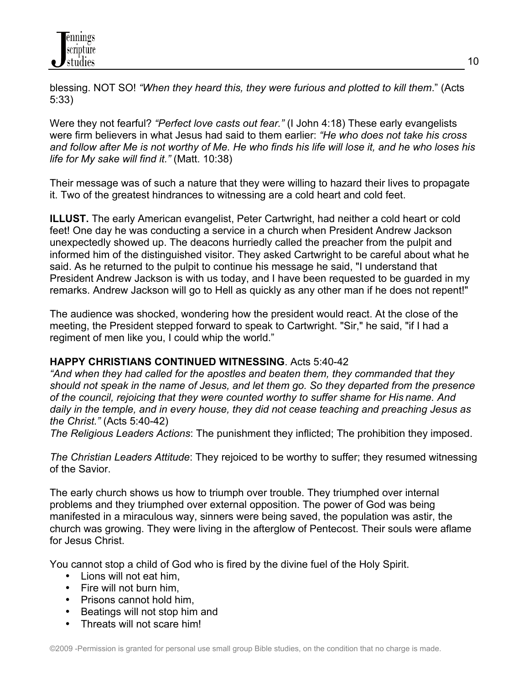blessing. NOT SO! *"When they heard this, they were furious and plotted to kill them*." (Acts 5:33)

Were they not fearful? *"Perfect love casts out fear."* (I John 4:18) These early evangelists were firm believers in what Jesus had said to them earlier: *"He who does not take his cross and follow after Me is not worthy of Me. He who finds his life will lose it, and he who loses his life for My sake will find it."* (Matt. 10:38)

Their message was of such a nature that they were willing to hazard their lives to propagate it. Two of the greatest hindrances to witnessing are a cold heart and cold feet.

**ILLUST.** The early American evangelist, Peter Cartwright, had neither a cold heart or cold feet! One day he was conducting a service in a church when President Andrew Jackson unexpectedly showed up. The deacons hurriedly called the preacher from the pulpit and informed him of the distinguished visitor. They asked Cartwright to be careful about what he said. As he returned to the pulpit to continue his message he said, "I understand that President Andrew Jackson is with us today, and I have been requested to be guarded in my remarks. Andrew Jackson will go to Hell as quickly as any other man if he does not repent!"

The audience was shocked, wondering how the president would react. At the close of the meeting, the President stepped forward to speak to Cartwright. "Sir," he said, "if I had a regiment of men like you, I could whip the world."

### **HAPPY CHRISTIANS CONTINUED WITNESSING**. Acts 5:40-42

*"And when they had called for the apostles and beaten them, they commanded that they should not speak in the name of Jesus, and let them go. So they departed from the presence of the council, rejoicing that they were counted worthy to suffer shame for His name. And daily in the temple, and in every house, they did not cease teaching and preaching Jesus as the Christ."* (Acts 5:40-42)

*The Religious Leaders Actions*: The punishment they inflicted; The prohibition they imposed.

*The Christian Leaders Attitude*: They rejoiced to be worthy to suffer; they resumed witnessing of the Savior.

The early church shows us how to triumph over trouble. They triumphed over internal problems and they triumphed over external opposition. The power of God was being manifested in a miraculous way, sinners were being saved, the population was astir, the church was growing. They were living in the afterglow of Pentecost. Their souls were aflame for Jesus Christ.

You cannot stop a child of God who is fired by the divine fuel of the Holy Spirit.

- Lions will not eat him,
- Fire will not burn him,
- Prisons cannot hold him,
- Beatings will not stop him and
- Threats will not scare him!